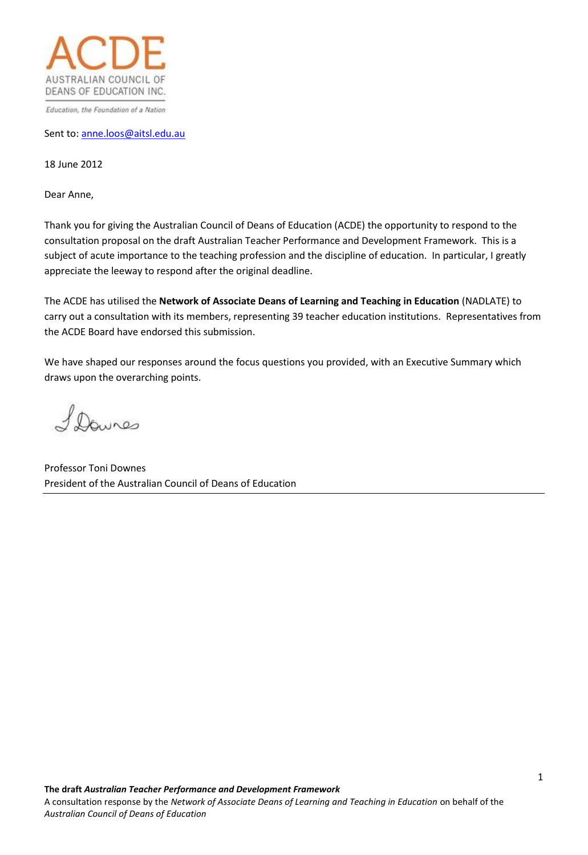

Sent to: [anne.loos@aitsl.edu.au](mailto:anne.loos@aitsl.edu.au)

18 June 2012

Dear Anne,

Thank you for giving the Australian Council of Deans of Education (ACDE) the opportunity to respond to the consultation proposal on the draft Australian Teacher Performance and Development Framework. This is a subject of acute importance to the teaching profession and the discipline of education. In particular, I greatly appreciate the leeway to respond after the original deadline.

The ACDE has utilised the **Network of Associate Deans of Learning and Teaching in Education** (NADLATE) to carry out a consultation with its members, representing 39 teacher education institutions. Representatives from the ACDE Board have endorsed this submission.

We have shaped our responses around the focus questions you provided, with an Executive Summary which draws upon the overarching points.

Dannes

Professor Toni Downes President of the Australian Council of Deans of Education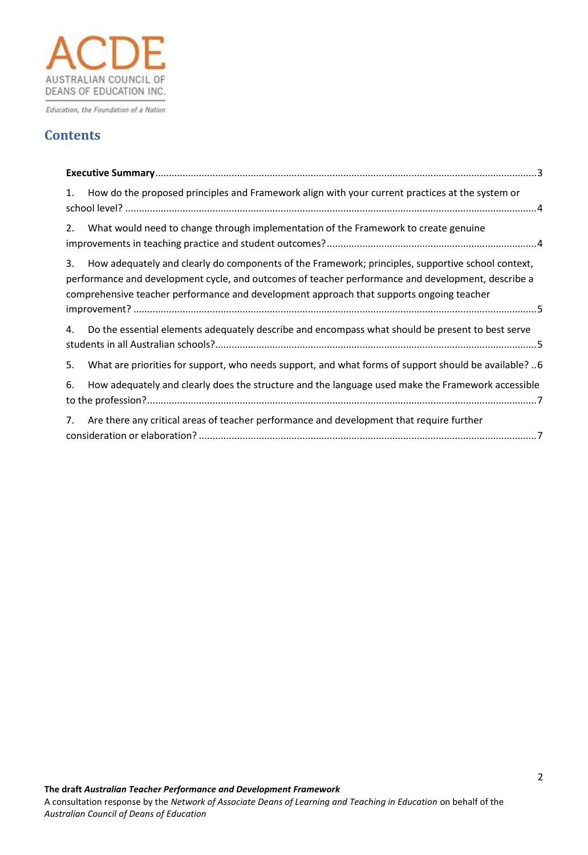

# **Contents**

| 1. | How do the proposed principles and Framework align with your current practices at the system or                                                                                                                                                                                                     |
|----|-----------------------------------------------------------------------------------------------------------------------------------------------------------------------------------------------------------------------------------------------------------------------------------------------------|
| 2. | What would need to change through implementation of the Framework to create genuine                                                                                                                                                                                                                 |
| 3. | How adequately and clearly do components of the Framework; principles, supportive school context,<br>performance and development cycle, and outcomes of teacher performance and development, describe a<br>comprehensive teacher performance and development approach that supports ongoing teacher |
| 4. | Do the essential elements adequately describe and encompass what should be present to best serve                                                                                                                                                                                                    |
| 5. | Mhat are priorities for support, who needs support, and what forms of support should be available? 6                                                                                                                                                                                                |
| 6. | How adequately and clearly does the structure and the language used make the Framework accessible                                                                                                                                                                                                   |
| 7. | Are there any critical areas of teacher performance and development that require further                                                                                                                                                                                                            |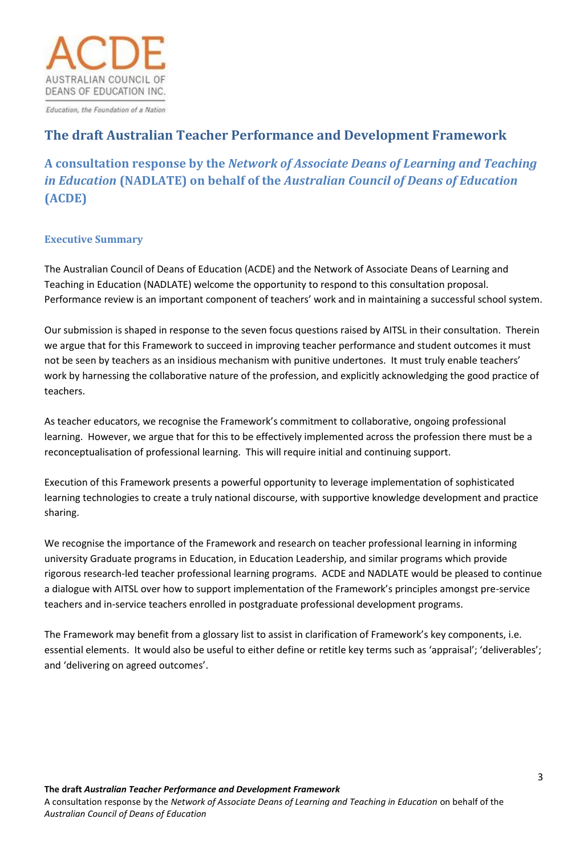

# **The draft Australian Teacher Performance and Development Framework**

**A consultation response by the** *Network of Associate Deans of Learning and Teaching in Education* **(NADLATE) on behalf of the** *Australian Council of Deans of Education* **(ACDE)**

#### <span id="page-2-0"></span>**Executive Summary**

The Australian Council of Deans of Education (ACDE) and the Network of Associate Deans of Learning and Teaching in Education (NADLATE) welcome the opportunity to respond to this consultation proposal. Performance review is an important component of teachers' work and in maintaining a successful school system.

Our submission is shaped in response to the seven focus questions raised by AITSL in their consultation. Therein we argue that for this Framework to succeed in improving teacher performance and student outcomes it must not be seen by teachers as an insidious mechanism with punitive undertones. It must truly enable teachers' work by harnessing the collaborative nature of the profession, and explicitly acknowledging the good practice of teachers.

As teacher educators, we recognise the Framework's commitment to collaborative, ongoing professional learning. However, we argue that for this to be effectively implemented across the profession there must be a reconceptualisation of professional learning. This will require initial and continuing support.

Execution of this Framework presents a powerful opportunity to leverage implementation of sophisticated learning technologies to create a truly national discourse, with supportive knowledge development and practice sharing.

We recognise the importance of the Framework and research on teacher professional learning in informing university Graduate programs in Education, in Education Leadership, and similar programs which provide rigorous research-led teacher professional learning programs. ACDE and NADLATE would be pleased to continue a dialogue with AITSL over how to support implementation of the Framework's principles amongst pre-service teachers and in-service teachers enrolled in postgraduate professional development programs.

The Framework may benefit from a glossary list to assist in clarification of Framework's key components, i.e. essential elements. It would also be useful to either define or retitle key terms such as 'appraisal'; 'deliverables'; and 'delivering on agreed outcomes'.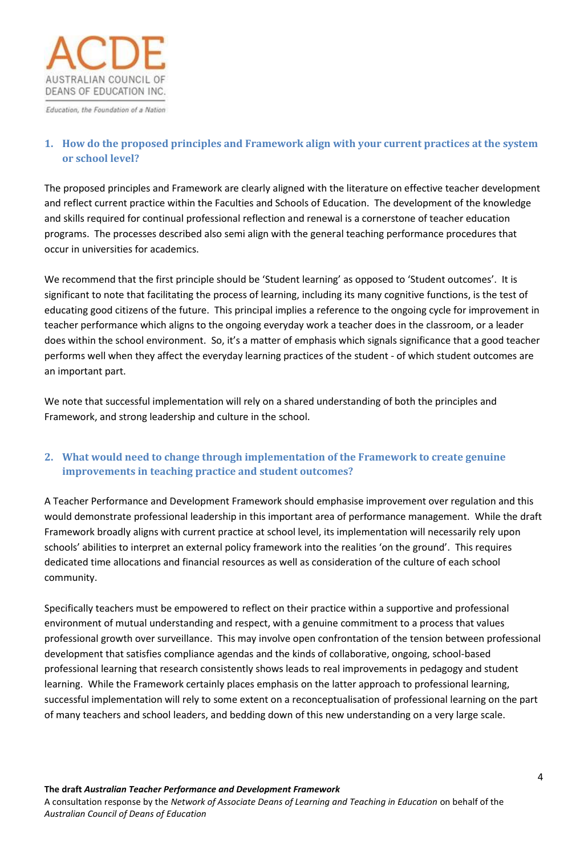

#### <span id="page-3-0"></span>**1. How do the proposed principles and Framework align with your current practices at the system or school level?**

The proposed principles and Framework are clearly aligned with the literature on effective teacher development and reflect current practice within the Faculties and Schools of Education. The development of the knowledge and skills required for continual professional reflection and renewal is a cornerstone of teacher education programs. The processes described also semi align with the general teaching performance procedures that occur in universities for academics.

We recommend that the first principle should be 'Student learning' as opposed to 'Student outcomes'. It is significant to note that facilitating the process of learning, including its many cognitive functions, is the test of educating good citizens of the future. This principal implies a reference to the ongoing cycle for improvement in teacher performance which aligns to the ongoing everyday work a teacher does in the classroom, or a leader does within the school environment. So, it's a matter of emphasis which signals significance that a good teacher performs well when they affect the everyday learning practices of the student - of which student outcomes are an important part.

We note that successful implementation will rely on a shared understanding of both the principles and Framework, and strong leadership and culture in the school.

#### <span id="page-3-1"></span>**2. What would need to change through implementation of the Framework to create genuine improvements in teaching practice and student outcomes?**

A Teacher Performance and Development Framework should emphasise improvement over regulation and this would demonstrate professional leadership in this important area of performance management. While the draft Framework broadly aligns with current practice at school level, its implementation will necessarily rely upon schools' abilities to interpret an external policy framework into the realities 'on the ground'. This requires dedicated time allocations and financial resources as well as consideration of the culture of each school community.

Specifically teachers must be empowered to reflect on their practice within a supportive and professional environment of mutual understanding and respect, with a genuine commitment to a process that values professional growth over surveillance. This may involve open confrontation of the tension between professional development that satisfies compliance agendas and the kinds of collaborative, ongoing, school-based professional learning that research consistently shows leads to real improvements in pedagogy and student learning. While the Framework certainly places emphasis on the latter approach to professional learning, successful implementation will rely to some extent on a reconceptualisation of professional learning on the part of many teachers and school leaders, and bedding down of this new understanding on a very large scale.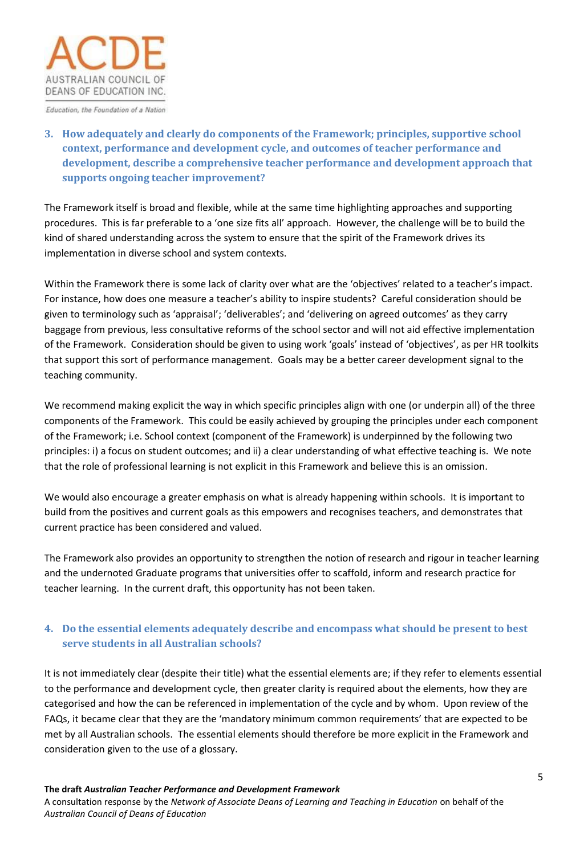

# <span id="page-4-0"></span>**3. How adequately and clearly do components of the Framework; principles, supportive school context, performance and development cycle, and outcomes of teacher performance and development, describe a comprehensive teacher performance and development approach that supports ongoing teacher improvement?**

The Framework itself is broad and flexible, while at the same time highlighting approaches and supporting procedures. This is far preferable to a 'one size fits all' approach. However, the challenge will be to build the kind of shared understanding across the system to ensure that the spirit of the Framework drives its implementation in diverse school and system contexts.

Within the Framework there is some lack of clarity over what are the 'objectives' related to a teacher's impact. For instance, how does one measure a teacher's ability to inspire students? Careful consideration should be given to terminology such as 'appraisal'; 'deliverables'; and 'delivering on agreed outcomes' as they carry baggage from previous, less consultative reforms of the school sector and will not aid effective implementation of the Framework. Consideration should be given to using work 'goals' instead of 'objectives', as per HR toolkits that support this sort of performance management. Goals may be a better career development signal to the teaching community.

We recommend making explicit the way in which specific principles align with one (or underpin all) of the three components of the Framework. This could be easily achieved by grouping the principles under each component of the Framework; i.e. School context (component of the Framework) is underpinned by the following two principles: i) a focus on student outcomes; and ii) a clear understanding of what effective teaching is. We note that the role of professional learning is not explicit in this Framework and believe this is an omission.

We would also encourage a greater emphasis on what is already happening within schools. It is important to build from the positives and current goals as this empowers and recognises teachers, and demonstrates that current practice has been considered and valued.

The Framework also provides an opportunity to strengthen the notion of research and rigour in teacher learning and the undernoted Graduate programs that universities offer to scaffold, inform and research practice for teacher learning. In the current draft, this opportunity has not been taken.

# <span id="page-4-1"></span>**4. Do the essential elements adequately describe and encompass what should be present to best serve students in all Australian schools?**

It is not immediately clear (despite their title) what the essential elements are; if they refer to elements essential to the performance and development cycle, then greater clarity is required about the elements, how they are categorised and how the can be referenced in implementation of the cycle and by whom. Upon review of the FAQs, it became clear that they are the 'mandatory minimum common requirements' that are expected to be met by all Australian schools. The essential elements should therefore be more explicit in the Framework and consideration given to the use of a glossary.

A consultation response by the *Network of Associate Deans of Learning and Teaching in Education* on behalf of the *Australian Council of Deans of Education*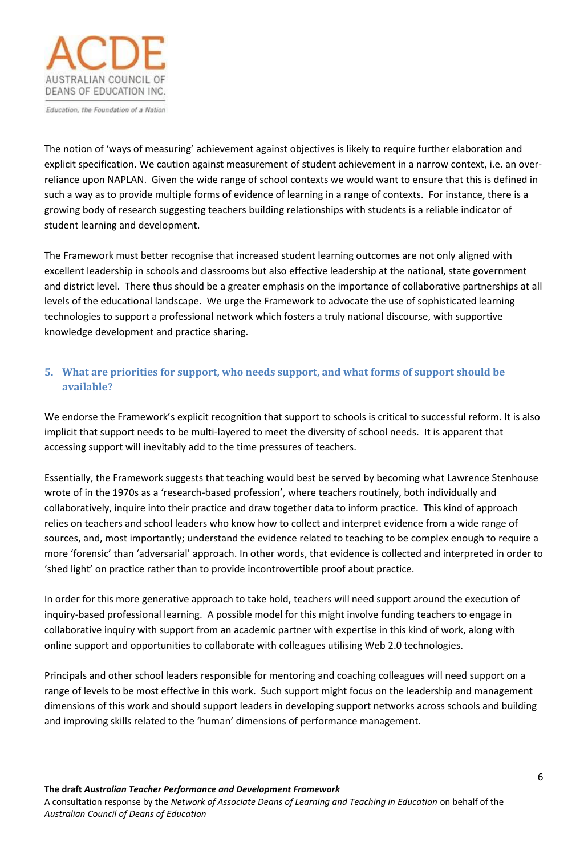

The notion of 'ways of measuring' achievement against objectives is likely to require further elaboration and explicit specification. We caution against measurement of student achievement in a narrow context, i.e. an overreliance upon NAPLAN. Given the wide range of school contexts we would want to ensure that this is defined in such a way as to provide multiple forms of evidence of learning in a range of contexts. For instance, there is a growing body of research suggesting teachers building relationships with students is a reliable indicator of student learning and development.

The Framework must better recognise that increased student learning outcomes are not only aligned with excellent leadership in schools and classrooms but also effective leadership at the national, state government and district level. There thus should be a greater emphasis on the importance of collaborative partnerships at all levels of the educational landscape. We urge the Framework to advocate the use of sophisticated learning technologies to support a professional network which fosters a truly national discourse, with supportive knowledge development and practice sharing.

# <span id="page-5-0"></span>**5. What are priorities for support, who needs support, and what forms of support should be available?**

We endorse the Framework's explicit recognition that support to schools is critical to successful reform. It is also implicit that support needs to be multi-layered to meet the diversity of school needs. It is apparent that accessing support will inevitably add to the time pressures of teachers.

Essentially, the Framework suggests that teaching would best be served by becoming what Lawrence Stenhouse wrote of in the 1970s as a 'research-based profession', where teachers routinely, both individually and collaboratively, inquire into their practice and draw together data to inform practice. This kind of approach relies on teachers and school leaders who know how to collect and interpret evidence from a wide range of sources, and, most importantly; understand the evidence related to teaching to be complex enough to require a more 'forensic' than 'adversarial' approach. In other words, that evidence is collected and interpreted in order to 'shed light' on practice rather than to provide incontrovertible proof about practice.

In order for this more generative approach to take hold, teachers will need support around the execution of inquiry-based professional learning. A possible model for this might involve funding teachers to engage in collaborative inquiry with support from an academic partner with expertise in this kind of work, along with online support and opportunities to collaborate with colleagues utilising Web 2.0 technologies.

Principals and other school leaders responsible for mentoring and coaching colleagues will need support on a range of levels to be most effective in this work. Such support might focus on the leadership and management dimensions of this work and should support leaders in developing support networks across schools and building and improving skills related to the 'human' dimensions of performance management.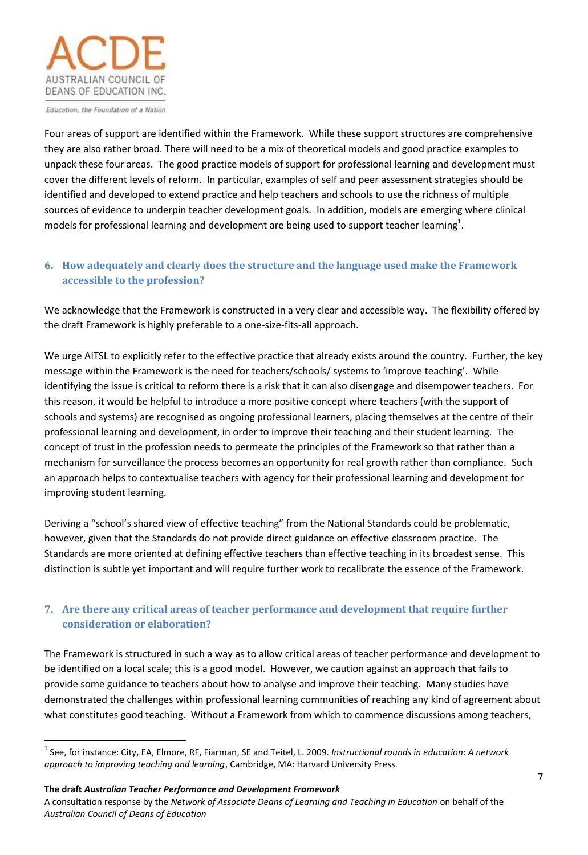

Four areas of support are identified within the Framework. While these support structures are comprehensive they are also rather broad. There will need to be a mix of theoretical models and good practice examples to unpack these four areas. The good practice models of support for professional learning and development must cover the different levels of reform. In particular, examples of self and peer assessment strategies should be identified and developed to extend practice and help teachers and schools to use the richness of multiple sources of evidence to underpin teacher development goals. In addition, models are emerging where clinical models for professional learning and development are being used to support teacher learning<sup>1</sup>.

#### <span id="page-6-0"></span>**6. How adequately and clearly does the structure and the language used make the Framework accessible to the profession?**

We acknowledge that the Framework is constructed in a very clear and accessible way. The flexibility offered by the draft Framework is highly preferable to a one-size-fits-all approach.

We urge AITSL to explicitly refer to the effective practice that already exists around the country. Further, the key message within the Framework is the need for teachers/schools/ systems to 'improve teaching'. While identifying the issue is critical to reform there is a risk that it can also disengage and disempower teachers. For this reason, it would be helpful to introduce a more positive concept where teachers (with the support of schools and systems) are recognised as ongoing professional learners, placing themselves at the centre of their professional learning and development, in order to improve their teaching and their student learning. The concept of trust in the profession needs to permeate the principles of the Framework so that rather than a mechanism for surveillance the process becomes an opportunity for real growth rather than compliance. Such an approach helps to contextualise teachers with agency for their professional learning and development for improving student learning.

Deriving a "school's shared view of effective teaching" from the National Standards could be problematic, however, given that the Standards do not provide direct guidance on effective classroom practice. The Standards are more oriented at defining effective teachers than effective teaching in its broadest sense. This distinction is subtle yet important and will require further work to recalibrate the essence of the Framework.

# <span id="page-6-1"></span>**7. Are there any critical areas of teacher performance and development that require further consideration or elaboration?**

The Framework is structured in such a way as to allow critical areas of teacher performance and development to be identified on a local scale; this is a good model. However, we caution against an approach that fails to provide some guidance to teachers about how to analyse and improve their teaching. Many studies have demonstrated the challenges within professional learning communities of reaching any kind of agreement about what constitutes good teaching. Without a Framework from which to commence discussions among teachers,

#### **The draft** *Australian Teacher Performance and Development Framework*

**.** 

A consultation response by the *Network of Associate Deans of Learning and Teaching in Education* on behalf of the *Australian Council of Deans of Education*

<sup>1</sup> See, for instance: City, EA, Elmore, RF, Fiarman, SE and Teitel, L. 2009. *Instructional rounds in education: A network approach to improving teaching and learning*, Cambridge, MA: Harvard University Press.